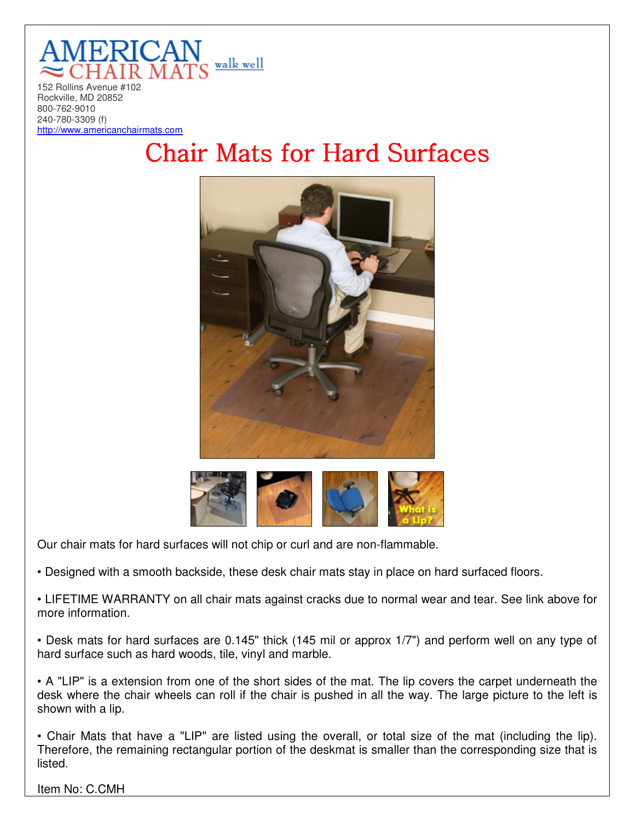

Rockville, MD 20852 800-762-9010 240-780-3309 (f) http://www.americanchairmats.com

## **Chair Mats for Hard Surfaces**





Our chair mats for hard surfaces will not chip or curl and are non-flammable.

• Designed with a smooth backside, these desk chair mats stay in place on hard surfaced floors.

• LIFETIME WARRANTY on all chair mats against cracks due to normal wear and tear. See link above for more information.

• Desk mats for hard surfaces are 0.145" thick (145 mil or approx 1/7") and perform well on any type of hard surface such as hard woods, tile, vinyl and marble.

• A "LIP" is a extension from one of the short sides of the mat. The lip covers the carpet underneath the desk where the chair wheels can roll if the chair is pushed in all the way. The large picture to the left is shown with a lip.

• Chair Mats that have a "LIP" are listed using the overall, or total size of the mat (including the lip). Therefore, the remaining rectangular portion of the deskmat is smaller than the corresponding size that is listed.

Item No: C.CMH